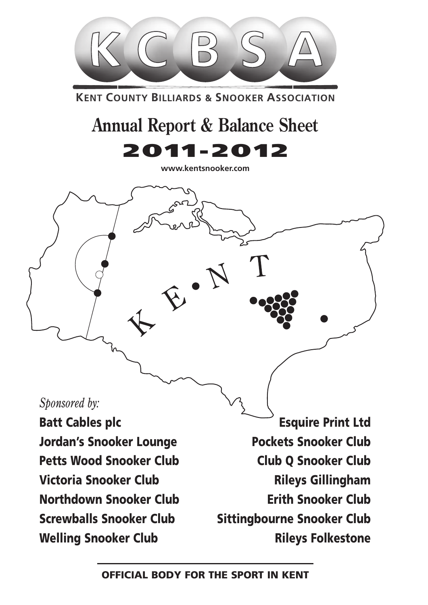

**KENT COUNTY BILLIARDS & SNOOKER ASSOCIATION** 

# **Annual Report & Balance Sheet** 2011-2012

**www.kentsnooker.com**

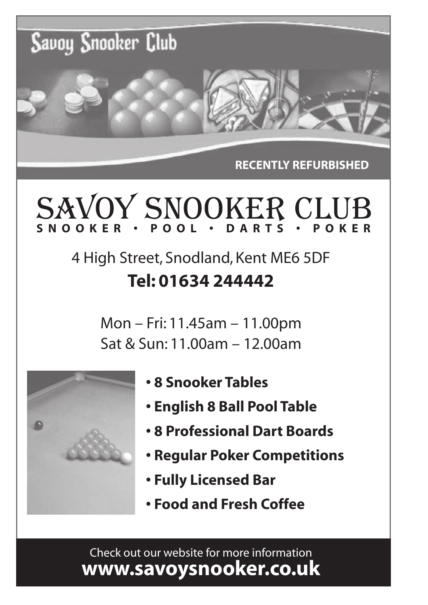

**RECENTLY REFURBISHED**

# **SNOOKER • POOL • DARTS • POKER**

# 4 High Street, Snodland, Kent ME6 5DF **Tel: 01634 244442**

Mon – Fri: 11.45am – 11.00pm Sat & Sun: 11.00am – 12.00am



- **8 Snooker Tables**
- **English 8 Ball Pool Table**
- **8 Professional Dart Boards**
- **Regular Poker Competitions**
- **Fully Licensed Bar**
- **Food and Fresh Coffee**

Check out our website for more information **www.savoysnooker.co.uk**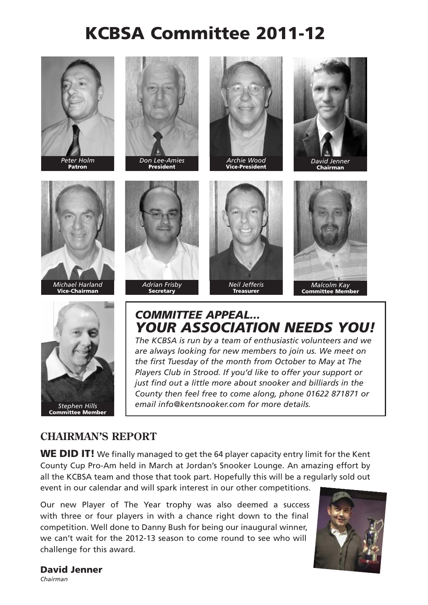# KCBSA Committee 2011-12





*Don Lee-Amies* **President** 





Chairman











## *COMMITTEE APPEAL... YOUR ASSOCIATION NEEDS YOU!*

*The KCBSA is run by a team of enthusiastic volunteers and we are always looking for new members to join us. We meet on the first Tuesday of the month from October to May at The Players Club in Strood. If you'd like to offer your support or just find out a little more about snooker and billiards in the County then feel free to come along, phone 01622 871871 or email info@kentsnooker.com for more details.*

#### **CHAIRMAN'S REPORT**

WE DID IT! We finally managed to get the 64 player capacity entry limit for the Kent County Cup Pro-Am held in March at Jordan's Snooker Lounge. An amazing effort by all the KCBSA team and those that took part. Hopefully this will be a regularly sold out event in our calendar and will spark interest in our other competitions.

Our new Player of The Year trophy was also deemed a success with three or four players in with a chance right down to the final competition. Well done to Danny Bush for being our inaugural winner, we can't wait for the 2012-13 season to come round to see who will challenge for this award.



#### David Jenner

*Chairman*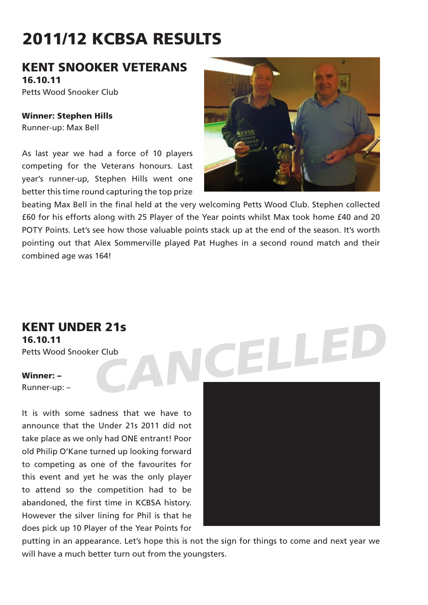# 2011/12 KCBSA RESULTS

#### KENT SNOOKER VETERANS 16.10.11

Petts Wood Snooker Club

Winner: Stephen Hills Runner-up: Max Bell

As last year we had a force of 10 players competing for the Veterans honours. Last year's runner-up, Stephen Hills went one better this time round capturing the top prize



beating Max Bell in the final held at the very welcoming Petts Wood Club. Stephen collected £60 for his efforts along with 25 Player of the Year points whilst Max took home £40 and 20 POTY Points. Let's see how those valuable points stack up at the end of the season. It's worth pointing out that Alex Sommerville played Pat Hughes in a second round match and their combined age was 164!

KENT UNDER 21s

16.10.11 Petts Wood Snooker Club

#### Winner: –

Runner-up: –

It is with some sadness that we have to announce that the Under 21s 2011 did not take place as we only had ONE entrant! Poor old Philip O'Kane turned up looking forward to competing as one of the favourites for this event and yet he was the only player to attend so the competition had to be abandoned, the first time in KCBSA history. However the silver lining for Phil is that he does pick up 10 Player of the Year Points for



putting in an appearance. Let's hope this is not the sign for things to come and next year we will have a much better turn out from the youngsters.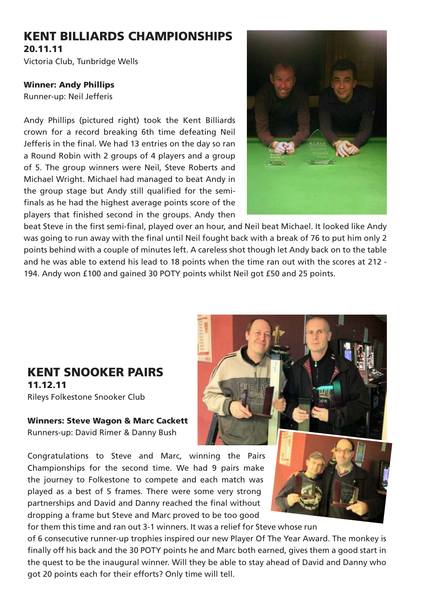## KENT BILLIARDS CHAMPIONSHIPS

20.11.11 Victoria Club, Tunbridge Wells

#### Winner: Andy Phillips

Runner-up: Neil Jefferis

Andy Phillips (pictured right) took the Kent Billiards crown for a record breaking 6th time defeating Neil Jefferis in the final. We had 13 entries on the day so ran a Round Robin with 2 groups of 4 players and a group of 5. The group winners were Neil, Steve Roberts and Michael Wright. Michael had managed to beat Andy in the group stage but Andy still qualified for the semifinals as he had the highest average points score of the players that finished second in the groups. Andy then



beat Steve in the first semi-final, played over an hour, and Neil beat Michael. It looked like Andy was going to run away with the final until Neil fought back with a break of 76 to put him only 2 points behind with a couple of minutes left. A careless shot though let Andy back on to the table and he was able to extend his lead to 18 points when the time ran out with the scores at 212 - 194. Andy won £100 and gained 30 POTY points whilst Neil got £50 and 25 points.

#### KENT SNOOKER PAIRS 11.12.11 Rileys Folkestone Snooker Club

Winners: Steve Wagon & Marc Cackett Runners-up: David Rimer & Danny Bush

Congratulations to Steve and Marc, winning the Pairs Championships for the second time. We had 9 pairs make the journey to Folkestone to compete and each match was played as a best of 5 frames. There were some very strong partnerships and David and Danny reached the final without dropping a frame but Steve and Marc proved to be too good





for them this time and ran out 3-1 winners. It was a relief for Steve whose run

of 6 consecutive runner-up trophies inspired our new Player Of The Year Award. The monkey is finally off his back and the 30 POTY points he and Marc both earned, gives them a good start in the quest to be the inaugural winner. Will they be able to stay ahead of David and Danny who got 20 points each for their efforts? Only time will tell.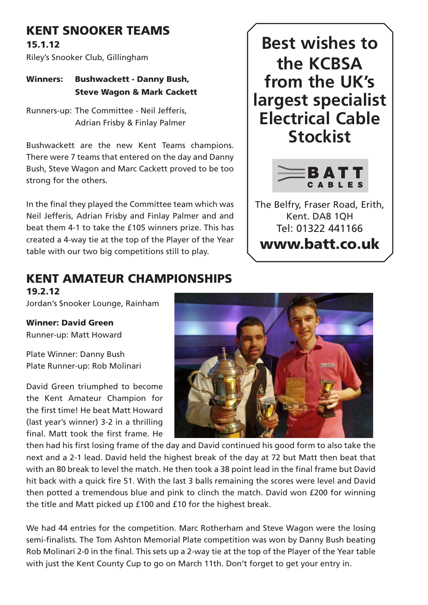## KENT SNOOKER TEAMS

15.1.12

Riley's Snooker Club, Gillingham

Winners: Bushwackett - Danny Bush, Steve Wagon & Mark Cackett

Runners-up: The Committee - Neil Jefferis, Adrian Frisby & Finlay Palmer

Bushwackett are the new Kent Teams champions. There were 7 teams that entered on the day and Danny Bush, Steve Wagon and Marc Cackett proved to be too strong for the others.

In the final they played the Committee team which was Neil Jefferis, Adrian Frisby and Finlay Palmer and and beat them 4-1 to take the £105 winners prize. This has created a 4-way tie at the top of the Player of the Year table with our two big competitions still to play.

## **Best wishes to the KCBSA from the UK's largest specialist Electrical Cable Stockist**



The Belfry, Fraser Road, Erith, Kent. DA8 1QH Tel: 01322 441166 www.batt.co.uk

## KENT AMATEUR CHAMPIONSHIPS

19.2.12

Jordan's Snooker Lounge, Rainham

Winner: David Green Runner-up: Matt Howard

Plate Winner: Danny Bush Plate Runner-up: Rob Molinari

David Green triumphed to become the Kent Amateur Champion for the first time! He beat Matt Howard (last year's winner) 3-2 in a thrilling final. Matt took the first frame. He



then had his first losing frame of the day and David continued his good form to also take the next and a 2-1 lead. David held the highest break of the day at 72 but Matt then beat that with an 80 break to level the match. He then took a 38 point lead in the final frame but David hit back with a quick fire 51. With the last 3 balls remaining the scores were level and David then potted a tremendous blue and pink to clinch the match. David won £200 for winning the title and Matt picked up £100 and £10 for the highest break.

We had 44 entries for the competition. Marc Rotherham and Steve Wagon were the losing semi-finalists. The Tom Ashton Memorial Plate competition was won by Danny Bush beating Rob Molinari 2-0 in the final. This sets up a 2-way tie at the top of the Player of the Year table with just the Kent County Cup to go on March 11th. Don't forget to get your entry in.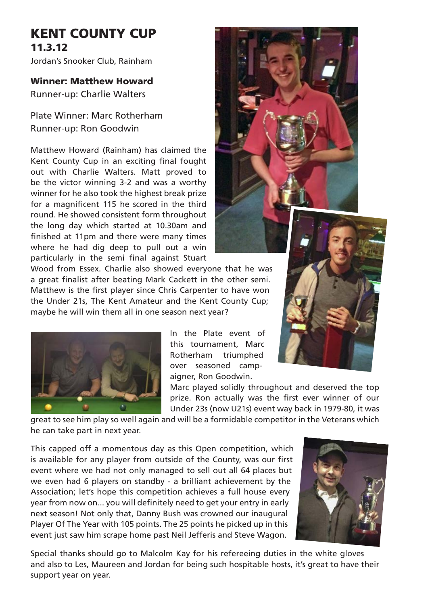## KENT COUNTY CUP 11.3.12

Jordan's Snooker Club, Rainham

#### Winner: Matthew Howard

Runner-up: Charlie Walters

Plate Winner: Marc Rotherham Runner-up: Ron Goodwin

Matthew Howard (Rainham) has claimed the Kent County Cup in an exciting final fought out with Charlie Walters. Matt proved to be the victor winning 3-2 and was a worthy winner for he also took the highest break prize for a magnificent 115 he scored in the third round. He showed consistent form throughout the long day which started at 10.30am and finished at 11pm and there were many times where he had dig deep to pull out a win particularly in the semi final against Stuart

Wood from Essex. Charlie also showed everyone that he was a great finalist after beating Mark Cackett in the other semi. Matthew is the first player since Chris Carpenter to have won the Under 21s, The Kent Amateur and the Kent County Cup; maybe he will win them all in one season next year?



In the Plate event of this tournament, Marc Rotherham triumphed over seasoned campaigner, Ron Goodwin.

Marc played solidly throughout and deserved the top prize. Ron actually was the first ever winner of our Under 23s (now U21s) event way back in 1979-80, it was

great to see him play so well again and will be a formidable competitor in the Veterans which he can take part in next year.

This capped off a momentous day as this Open competition, which is available for any player from outside of the County, was our first event where we had not only managed to sell out all 64 places but we even had 6 players on standby - a brilliant achievement by the Association; let's hope this competition achieves a full house every year from now on... you will definitely need to get your entry in early next season! Not only that, Danny Bush was crowned our inaugural Player Of The Year with 105 points. The 25 points he picked up in this event just saw him scrape home past Neil Jefferis and Steve Wagon.



Special thanks should go to Malcolm Kay for his refereeing duties in the white gloves and also to Les, Maureen and Jordan for being such hospitable hosts, it's great to have their support year on year.

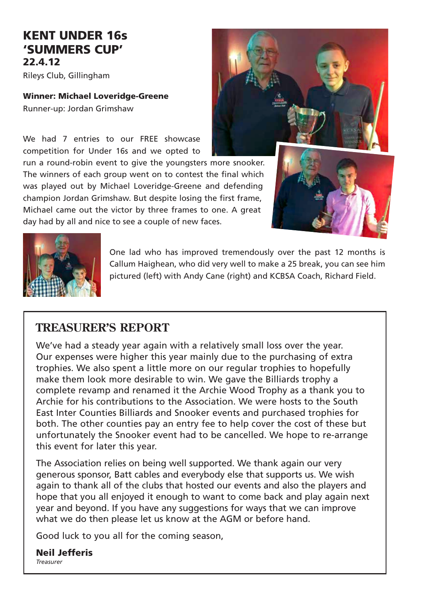#### KENT UNDER 16s 'SUMMERS CUP' 22.4.12

Rileys Club, Gillingham

#### Winner: Michael Loveridge-Greene

Runner-up: Jordan Grimshaw

We had 7 entries to our FRFF showcase competition for Under 16s and we opted to

run a round-robin event to give the youngsters more snooker. The winners of each group went on to contest the final which was played out by Michael Loveridge-Greene and defending champion Jordan Grimshaw. But despite losing the first frame, Michael came out the victor by three frames to one. A great day had by all and nice to see a couple of new faces.







One lad who has improved tremendously over the past 12 months is Callum Haighean, who did very well to make a 25 break, you can see him pictured (left) with Andy Cane (right) and KCBSA Coach, Richard Field.

#### **TREASURER'S REPORT**

We've had a steady year again with a relatively small loss over the year. Our expenses were higher this year mainly due to the purchasing of extra trophies. We also spent a little more on our regular trophies to hopefully make them look more desirable to win. We gave the Billiards trophy a complete revamp and renamed it the Archie Wood Trophy as a thank you to Archie for his contributions to the Association. We were hosts to the South East Inter Counties Billiards and Snooker events and purchased trophies for both. The other counties pay an entry fee to help cover the cost of these but unfortunately the Snooker event had to be cancelled. We hope to re-arrange this event for later this year.

The Association relies on being well supported. We thank again our very generous sponsor, Batt cables and everybody else that supports us. We wish again to thank all of the clubs that hosted our events and also the players and hope that you all enjoyed it enough to want to come back and play again next year and beyond. If you have any suggestions for ways that we can improve what we do then please let us know at the AGM or before hand.

Good luck to you all for the coming season,

Neil Jefferis *Treasurer*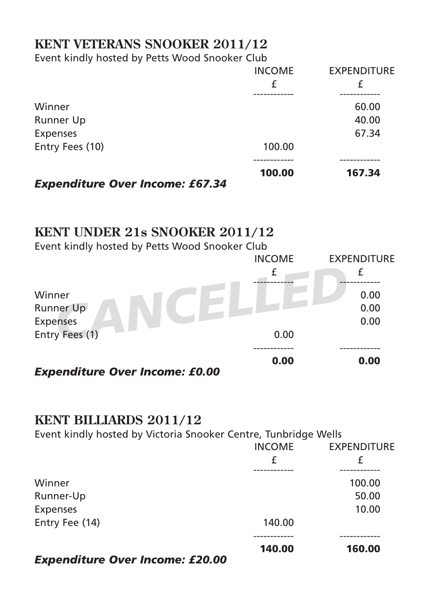## **KENT VETERANS SNOOKER 2011/12**

Event kindly hosted by Petts Wood Snooker Club

|                                        | <b>INCOME</b> | <b>EXPENDITURE</b> |
|----------------------------------------|---------------|--------------------|
|                                        | £             | £                  |
|                                        |               |                    |
| Winner                                 |               | 60.00              |
| Runner Up                              |               | 40.00              |
| <b>Expenses</b>                        |               | 67.34              |
| Entry Fees (10)                        | 100.00        |                    |
|                                        | 100.00        | 167.34             |
| <b>Expenditure Over Income: £67.34</b> |               |                    |

#### **KENT UNDER 21s SNOOKER 2011/12**

Event kindly hosted by Petts Wood Snooker Club

|                                       | <b>INCOME</b> | <b>EXPENDITURE</b> |
|---------------------------------------|---------------|--------------------|
| Winner<br>Runner Up                   | £             | 0.00<br>0.00       |
| <b>Expenses</b>                       |               | 0.00               |
| Entry Fees (1)                        | 0.00          |                    |
| <b>Expenditure Over Income: £0.00</b> | 0.00          | 0.00               |

## **KENT BILLIARDS 2011/12**

Event kindly hosted by Victoria Snooker Centre, Tunbridge Wells

|                                 | <b>INCOME</b><br>£ | <b>EXPENDITURE</b><br>£ |
|---------------------------------|--------------------|-------------------------|
|                                 |                    |                         |
| Winner                          |                    | 100.00                  |
| Runner-Up                       |                    | 50.00                   |
| <b>Expenses</b>                 |                    | 10.00                   |
| Entry Fee (14)                  | 140.00             |                         |
|                                 | 140.00             | 160.00                  |
| Evan diture Over Income, 530,00 |                    |                         |

#### *Expenditure Over Income: £20.00*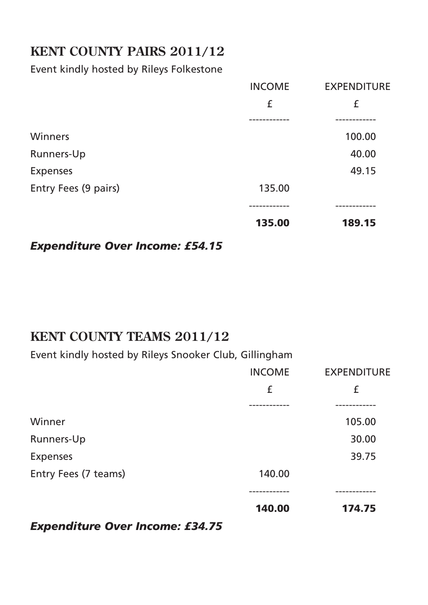## **KENT COUNTY PAIRS 2011/12**

#### Event kindly hosted by Rileys Folkestone

|                      | <b>INCOME</b> | <b>EXPENDITURE</b> |
|----------------------|---------------|--------------------|
|                      | £             | £                  |
|                      |               |                    |
| Winners              |               | 100.00             |
| Runners-Up           |               | 40.00              |
| <b>Expenses</b>      |               | 49.15              |
| Entry Fees (9 pairs) | 135.00        |                    |
|                      |               |                    |
|                      | 135.00        | 189.15             |
|                      |               |                    |

#### *Expenditure Over Income: £54.15*

## **KENT COUNTY TEAMS 2011/12**

Event kindly hosted by Rileys Snooker Club, Gillingham

|                      | <b>INCOME</b> | <b>EXPENDITURE</b> |
|----------------------|---------------|--------------------|
|                      | £             | £                  |
|                      |               |                    |
| Winner               |               | 105.00             |
| Runners-Up           |               | 30.00              |
| <b>Expenses</b>      |               | 39.75              |
| Entry Fees (7 teams) | 140.00        |                    |
|                      | 140.00        | 174.75             |
|                      |               |                    |

#### *Expenditure Over Income: £34.75*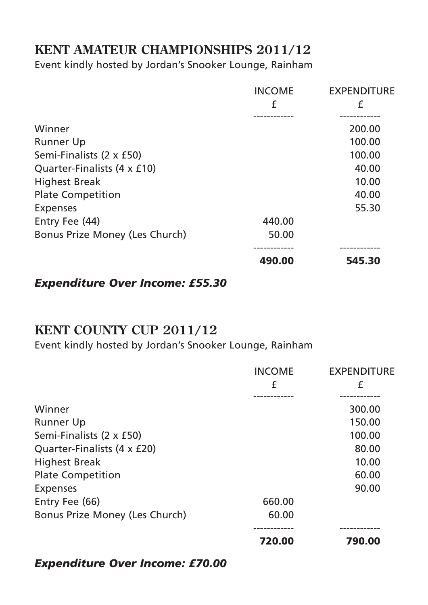## **KENT AMATEUR CHAMPIONSHIPS 2011/12**

Event kindly hosted by Jordan's Snooker Lounge, Rainham

| <b>INCOME</b> | <b>EXPENDITURE</b> |
|---------------|--------------------|
| £             | £                  |
|               |                    |
|               | 200.00             |
|               | 100.00             |
|               | 100.00             |
|               | 40.00              |
|               | 10.00              |
|               | 40.00              |
|               | 55.30              |
| 440.00        |                    |
| 50.00         |                    |
|               |                    |
| 490.00        | 545.30             |
|               |                    |

*Expenditure Over Income: £55.30*

## **KENT COUNTY CUP 2011/12**

Event kindly hosted by Jordan's Snooker Lounge, Rainham

|                                | <b>INCOME</b>   | <b>EXPENDITURE</b> |
|--------------------------------|-----------------|--------------------|
|                                | £<br>---------- | £<br>. <u>.</u>    |
| Winner                         |                 | 300.00             |
| <b>Runner Up</b>               |                 | 150.00             |
| Semi-Finalists (2 x £50)       |                 | 100.00             |
| Quarter-Finalists (4 x £20)    |                 | 80.00              |
| <b>Highest Break</b>           |                 | 10.00              |
| <b>Plate Competition</b>       |                 | 60.00              |
| <b>Expenses</b>                |                 | 90.00              |
| Entry Fee (66)                 | 660.00          |                    |
| Bonus Prize Money (Les Church) | 60.00           |                    |
|                                | 720.00          | 790.00             |
|                                |                 |                    |

#### *Expenditure Over Income: £70.00*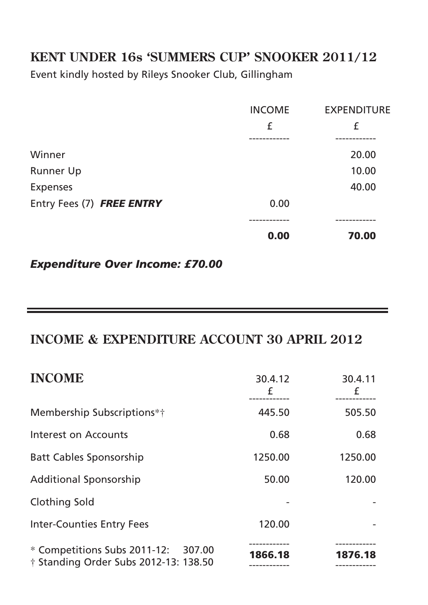## **KENT UNDER 16s 'SUMMERS CUP' SNOOKER 2011/12**

Event kindly hosted by Rileys Snooker Club, Gillingham

|                           | <b>INCOME</b> | <b>EXPENDITURE</b> |
|---------------------------|---------------|--------------------|
|                           | £             | £                  |
|                           |               |                    |
| Winner                    |               | 20.00              |
| Runner Up                 |               | 10.00              |
| <b>Expenses</b>           |               | 40.00              |
| Entry Fees (7) FREE ENTRY | 0.00          |                    |
|                           |               |                    |
|                           | 0.00          | 70.00              |
|                           |               |                    |

*Expenditure Over Income: £70.00*

## **INCOME & EXPENDITURE ACCOUNT 30 APRIL 2012**

| <b>INCOME</b>                                                                | 30.4.12<br>£ | 30.4.11<br>£ |
|------------------------------------------------------------------------------|--------------|--------------|
| Membership Subscriptions*†                                                   | 445.50       | 505.50       |
| Interest on Accounts                                                         | 0.68         | 0.68         |
| <b>Batt Cables Sponsorship</b>                                               | 1250.00      | 1250.00      |
| <b>Additional Sponsorship</b>                                                | 50.00        | 120.00       |
| Clothing Sold                                                                |              |              |
| <b>Inter-Counties Entry Fees</b>                                             | 120.00       |              |
| * Competitions Subs 2011-12: 307.00<br>† Standing Order Subs 2012-13: 138.50 | 1866.18      | 1876.18      |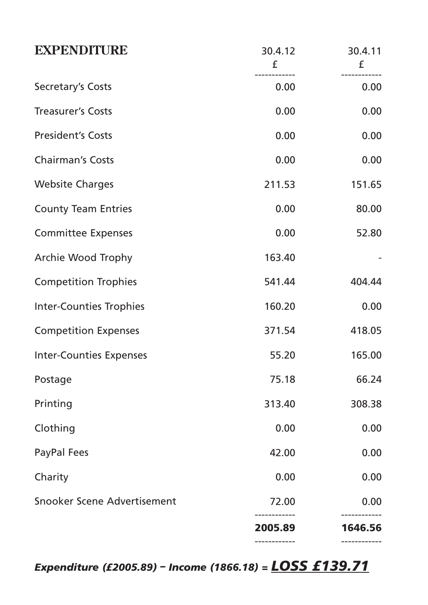| <b>EXPENDITURE</b>             | 30.4.12<br>£ | 30.4.11<br>£            |
|--------------------------------|--------------|-------------------------|
| Secretary's Costs              | 0.00         | -----------<br>0.00     |
| <b>Treasurer's Costs</b>       | 0.00         | 0.00                    |
| <b>President's Costs</b>       | 0.00         | 0.00                    |
| <b>Chairman's Costs</b>        | 0.00         | 0.00                    |
| <b>Website Charges</b>         | 211.53       | 151.65                  |
| <b>County Team Entries</b>     | 0.00         | 80.00                   |
| <b>Committee Expenses</b>      | 0.00         | 52.80                   |
| Archie Wood Trophy             | 163.40       |                         |
| <b>Competition Trophies</b>    | 541.44       | 404.44                  |
| <b>Inter-Counties Trophies</b> | 160.20       | 0.00                    |
| <b>Competition Expenses</b>    | 371.54       | 418.05                  |
| <b>Inter-Counties Expenses</b> | 55.20        | 165.00                  |
| Postage                        | 75.18        | 66.24                   |
| Printing                       | 313.40       | 308.38                  |
| Clothing                       | 0.00         | 0.00                    |
| PayPal Fees                    | 42.00        | 0.00                    |
| Charity                        | 0.00         | 0.00                    |
| Snooker Scene Advertisement    | 72.00        | 0.00                    |
|                                | 2005.89      | ------------<br>1646.56 |

*Expenditure (£2005.89) – Income (1866.18) = LOSS £139.71*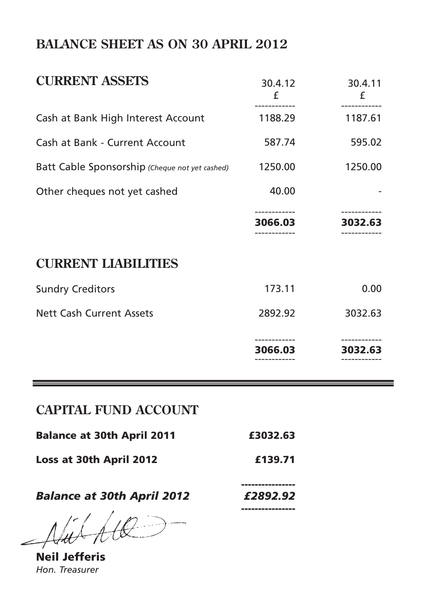## **BALANCE SHEET AS ON 30 APRIL 2012**

| <b>CURRENT ASSETS</b>                          | 30.4.12<br>f | 30.4.11<br>£ |
|------------------------------------------------|--------------|--------------|
| Cash at Bank High Interest Account             | 1188.29      | 1187.61      |
| Cash at Bank - Current Account                 | 587.74       | 595.02       |
| Batt Cable Sponsorship (Cheque not yet cashed) | 1250.00      | 1250.00      |
| Other cheques not yet cashed                   | 40.00        |              |
|                                                | 3066.03      | 3032.63      |
| <b>CURRENT LIABILITIES</b>                     |              |              |
| <b>Sundry Creditors</b>                        | 173.11       | 0.00         |
| <b>Nett Cash Current Assets</b>                | 2892.92      | 3032.63      |
|                                                | 3066.03      | 3032.63      |

## **CAPITAL FUND ACCOUNT**

| <b>Balance at 30th April 2011</b> | £3032.63 |
|-----------------------------------|----------|
| Loss at 30th April 2012           | £139.71  |
| <b>Balance at 30th April 2012</b> | £2892.92 |
| $\Delta H A H Q$                  |          |

Neil Jefferis *Hon. Treasurer*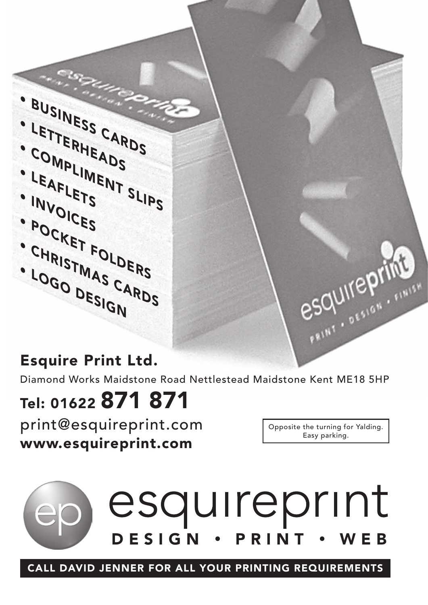en. • COMPLIMENT SLIPS<br>• LETTERHEADS<br>• COMPLIMENT SLIPS<br>• LEAFLETS • SLIPS<br>• LEAFLETS • SLIPS<br>• LEAFLETS • SLIPS<br>• LEAFLETS • SLIPS<br>• LEAFLETS • SLIPS<br>• LEAFLETS • SLIPS<br>• LEAFLETS • SLIPS<br>• LEAFLETS • SLIPS<br>• LEAFLETS • SLIPS

## Esquire Print Ltd.

Diamond Works Maidstone Road Nettlestead Maidstone Kent ME18 5HP

# Tel: 01622 871 871

print@esquireprint.com www.esquireprint.com

Opposite the turning for Yalding. Easy parking.

esquirepring



CALL DAVID JENNER FOR ALL YOUR PRINTING REQUIREMENTS